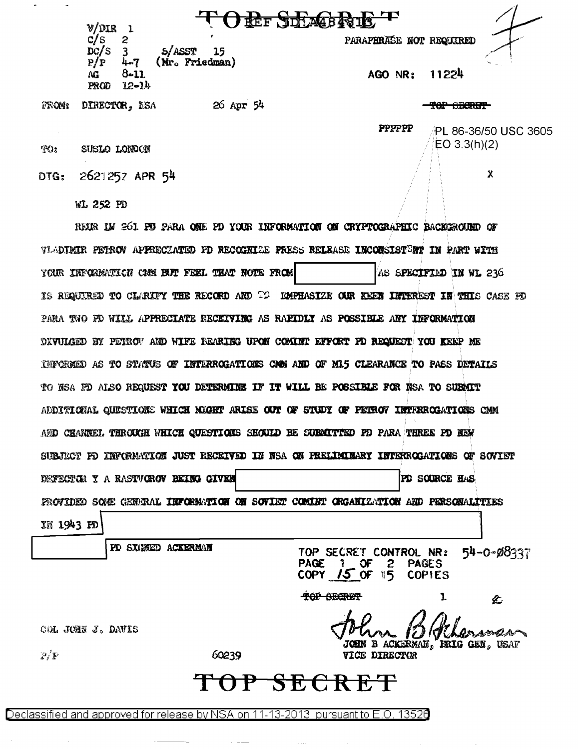|       | V/DIR                                                                 | JEEF JDLA484813                        |
|-------|-----------------------------------------------------------------------|----------------------------------------|
|       | $\mathbb{C}/%$<br>2<br>`S<br>DC/S<br>5/ASST<br>15                     | PARAPHRASE NOT REQUIRED                |
|       | (Mr. Friedman)<br>P/P<br>7 منا<br>$8 - 11$<br>AG<br>$12 - 24$<br>PROD | 11224<br>AGO NR:                       |
| FROM: | 26 Apr 54<br>DIRECTOR, MSA                                            | TOP GECRET                             |
|       |                                                                       | <b>PPPPPPP</b><br>PL 86-36/50 USC 3605 |
| T(x)  | SUSLO LONDON                                                          | EO 3.3(h)(2)                           |
| DTG:  | 2621252 APR 54                                                        | χ                                      |

WL 252 PD

REIR IM 261 PU PARA ONE PD YOUR INFORMATION ON CRYPTOGRAPHIC BACKGROUND OF VIADIMIR PETROV APPRECIATED PD RECOBILE PRESS RELEASE INCONSISTENT IN PART WITH YOUR INFORMATION COM BUT FEEL THAT NOTE FROM AS SPECIFIED IN WL 236 IS REQUIRED TO CLARIFY THE RECORD AND TO EMPHASIZE OUR REEN INTEREST IN THIS CASE FD PARA TWO FO WILL APPRECIATE RECEIVING AS RAFIDLY AS POSSIBLE ANY INFORMATION DIVULGED BY PETROV AND WIFE BEARING UPON COMINT EFFORT PD REQUEST YOU KEEP ME INVERTED AS TO STATUS OF INTERROGATIONS CAM AND OF M15 CLEARANCE TO PASS DETAILS TO HSA FO ALSO REQUEST YOU DETERMINE IF IT WILL BE POSSIBLE FOR NSA TO SUBMIT ADDITIONAL QUESTIONS WHICH NOGHT ARISE OUT OF STUDY OF PETROV INTRIROGATIONS CMM AND CHANNEL THROUGH WHICH QUESTIONS SHOULD BE SUBMITTED PD PARA THREE PD NEW SUBJECT PD INFORMATION JUST RECEIVED IN NSA ON PRELIMINARY INTERROGATIONS OF SOVIET DEFECTOR Y A RASTVOROV BEING GIVEN PD SOURCE HAS PROVIDED SOME GENERAL INFORMATION ON SOVIET COMINT ORGANIZATION AND PERSONALITIES IN 1943 FO PD SIGNED ACKERMAN 54-0-08337 TOP SECRET CONTROL NR: **PAGE**  $1$  OF 2 **PAGES** COPY  $15$  OF 15 **COPIES** TOP SECRET 1 仑 COL JUHN J. DAVIS 10 amein. JOHN B ACKERMAN, IRIG GEN, USAF

 $\mathcal{P}/\mathcal{P}$ 

60239

## SECRET ᡏ᠊ᠻ᠇ᡛ

VICE DIRECTUR

Declassified and approved for release by NSA on 11-13-2013 pursuant to E.O. 13526